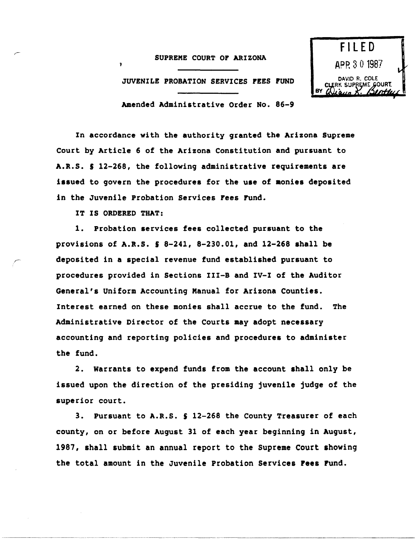## SUPREME COURT or ARIZONA

JUVENILE PROBATION SERVICES FEES FUND



Amended Administrative Order No. 86-9

In accordance with the authority granted the Arizona Supreme Court by Article 6 of the Arizona Constitution and pursuant to A.R.S. S 12-268, the following administrative requirements are issued to govern the procedures for the use of monies deposited in the Juvenile Probation Services rees rund.

IT IS ORDERED THAT:

"'

1. Probation services fees collected pursuant to the provisions of A.R.S.  $S_8 - 241$ , 8-230.01, and 12-268 shall be deposited in a special revenue fund established pursuant to procedures provided in Sections III-B and IV-I of the Auditor General's Uniform Accounting Manual for Arizona Counties. Interest earned on these monies shall accrue to the fund. The Administrative Director of the Courts may adopt necessary accounting and reporting policies and procedures to administer the fund.

2. warrants to expend funds from the account ahall only be issued upon the direction of the presiding juvenile judge of the superior court.

3. Pursuant to A.R.S. S 12-268 the County Treasurer of each county, on or before August 31 of each year beginning in August, 1987, shall submit an annual report to the Supreme Court showing the total amount in the Juvenile Probation Services Fees Fund.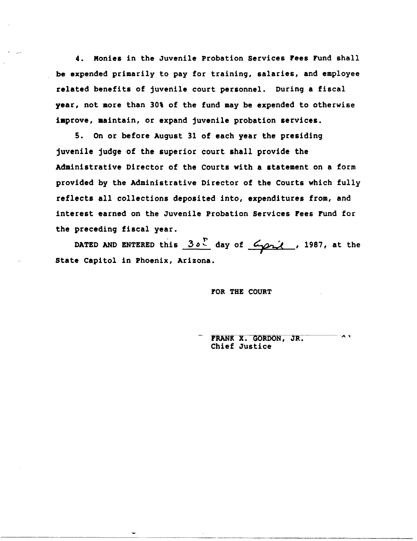4. Monies in the Juvenile Probation Services Fees Fund shall be expended primarily to pay for training, salaries, and employee related benefits of juvenile court personnel. During a fiscal year, not more than 30% of the fund may be expended to otherwise improve, maintain, or expand juvenile probation services.

S. On or before August 31 of each year the presiding juvenile judge of the superior court shall provide the Administrative Director of the courts with a statement on a form provided by the Administrative Director of the Courts which fully reflects all collections deposited into, expenditures from, and interest earned on the Juvenile Probation Services Fees Fund for the preceding fiscal year.

DATED AND ENTERED this  $30^{\circ}$  day of  $\frac{c}{\sqrt{2\pi}}$ , 1987, at the state Capitol in Phoenix, Arizona.

-----~------------

FOR THE COURT

 $\mathbf{z}$ FRANK X. GORDON, JR. Chief Justice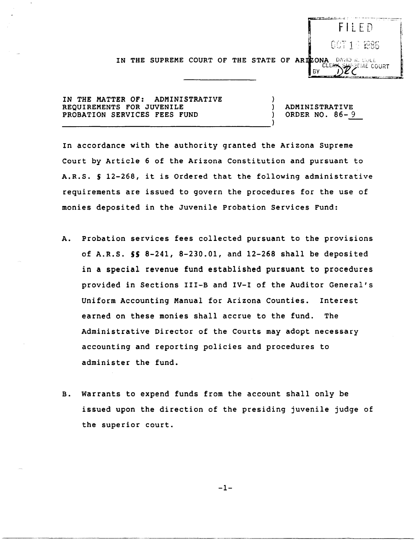$F \perp F D$ 007194886

IN THE SUPREME COURT OF THE STATE OF ARTZONA DAVID R. CULE

IN THE MATTER OF: ADMINISTRATIVE REQUIREMENTS FOR JUVENILE PROBATION SERVICES FEES FUND

ADMINISTRATIVE ORDER NO. 86- 9

BY

In accordance with the authority granted the Arizona Supreme Court by Article 6 of the Arizona Constitution and pursuant to A.R.S. S 12-268, it is Ordered that the following administrative requirements are issued to govern the procedures for the use of monies deposited in the Juvenile Probation Services Fund:

- A. Probation services fees collected pursuant to the provisions of A.R.S. **55** 8-241, 8-230.01, and 12-268 shall be deposited in a special revenue fund established pursuant to procedures provided in Sections III-B and IV-I of the Auditor General's Uniform Accounting Manual for Arizona Counties. Interest earned on these monies shall accrue to the fund. The Administrative Director of the Courts may adopt necessary accounting and reporting policies and procedures to administer the fund.
- B. warrants to expend funds from the account shall only be issued upon the direction of the presiding juvenile judge of the superior court.

 $-1-$